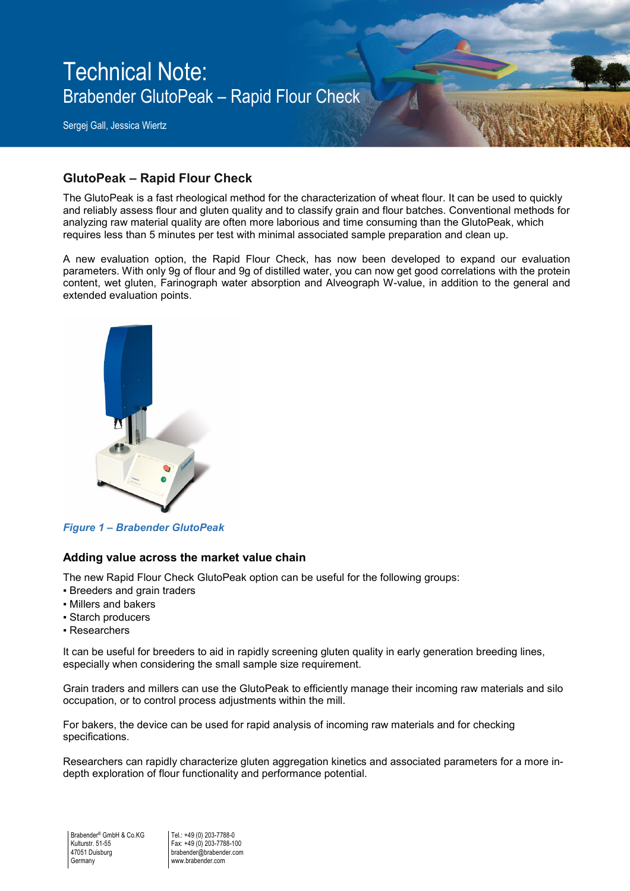Technical Note: Brabender GlutoPeak – Rapid Flour Check

Sergej Gall, Jessica Wiertz

# **GlutoPeak – Rapid Flour Check**

The GlutoPeak is a fast rheological method for the characterization of wheat flour. It can be used to quickly and reliably assess flour and gluten quality and to classify grain and flour batches. Conventional methods for analyzing raw material quality are often more laborious and time consuming than the GlutoPeak, which requires less than 5 minutes per test with minimal associated sample preparation and clean up.

A new evaluation option, the Rapid Flour Check, has now been developed to expand our evaluation parameters. With only 9g of flour and 9g of distilled water, you can now get good correlations with the protein content, wet gluten, Farinograph water absorption and Alveograph W-value, in addition to the general and extended evaluation points.



*Figure 1 – Brabender GlutoPeak* 

#### **Adding value across the market value chain**

The new Rapid Flour Check GlutoPeak option can be useful for the following groups:

- Breeders and grain traders
- Millers and bakers
- Starch producers
- Researchers

It can be useful for breeders to aid in rapidly screening gluten quality in early generation breeding lines, especially when considering the small sample size requirement.

Grain traders and millers can use the GlutoPeak to efficiently manage their incoming raw materials and silo occupation, or to control process adjustments within the mill.

For bakers, the device can be used for rapid analysis of incoming raw materials and for checking specifications.

Researchers can rapidly characterize gluten aggregation kinetics and associated parameters for a more indepth exploration of flour functionality and performance potential.

Tel.: +49 (0) 203-7788-0 Fax: +49 (0) 203-7788-100 brabender@brabender.com www.brabender.com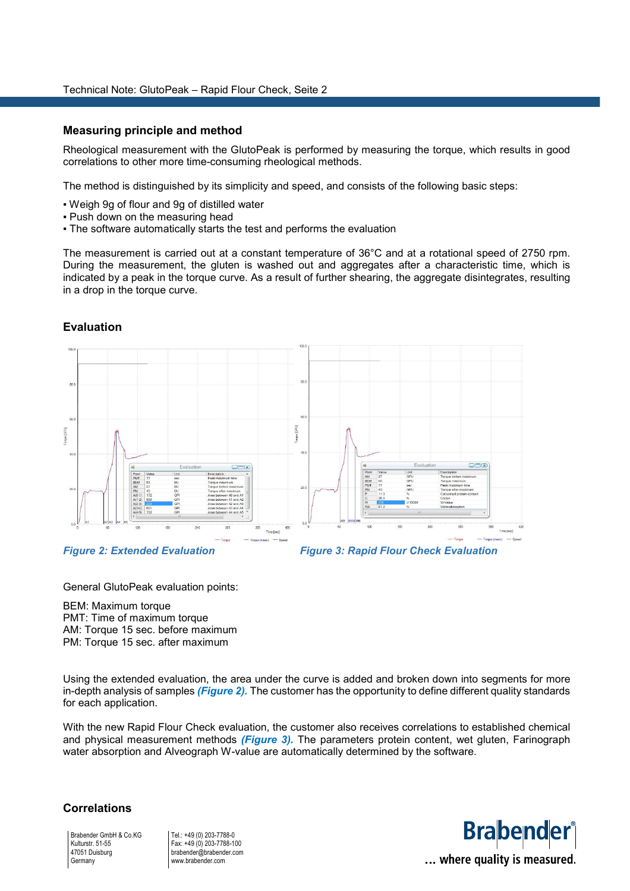#### **Measuring principle and method**

Rheological measurement with the GlutoPeak is performed by measuring the torque, which results in good correlations to other more time-consuming rheological methods.

The method is distinguished by its simplicity and speed, and consists of the following basic steps:

- Weigh 9g of flour and 9g of distilled water
- Push down on the measuring head
- The software automatically starts the test and performs the evaluation

The measurement is carried out at a constant temperature of 36°C and at a rotational speed of 2750 rpm. During the measurement, the gluten is washed out and aggregates after a characteristic time, which is indicated by a peak in the torque curve. As a result of further shearing, the aggregate disintegrates, resulting in a drop in the torque curve.



#### **Evaluation**



General GlutoPeak evaluation points:

BEM: Maximum torque PMT: Time of maximum torque AM: Torque 15 sec. before maximum PM: Torque 15 sec. after maximum

Using the extended evaluation, the area under the curve is added and broken down into segments for more in-depth analysis of samples *(Figure 2).* The customer has the opportunity to define different quality standards for each application.

With the new Rapid Flour Check evaluation, the customer also receives correlations to established chemical and physical measurement methods *(Figure 3).* The parameters protein content, wet gluten, Farinograph water absorption and Alveograph W-value are automatically determined by the software.

#### **Correlations**

Brabender GmbH & Co.KG Kulturstr. 51-55 47051 Duisburg **Germany** 

Tel.: +49 (0) 203-7788-0 Fax: +49 (0) 203-7788-100 brabender@brabender.com www.brabender.com

# **Brabender** ... where quality is measured.